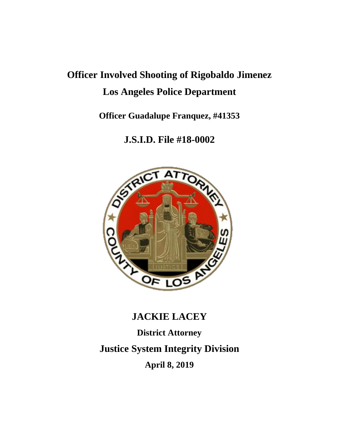# **Officer Involved Shooting of Rigobaldo Jimenez Los Angeles Police Department**

**Officer Guadalupe Franquez, #41353**

**J.S.I.D. File #18-0002**



## **JACKIE LACEY**

**District Attorney**

**Justice System Integrity Division**

**April 8, 2019**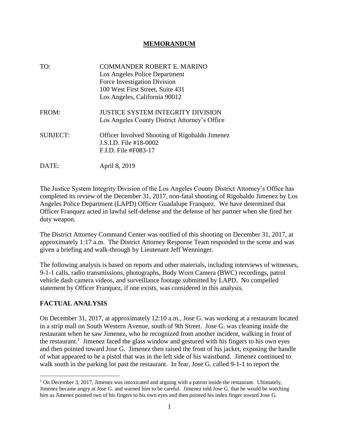#### **MEMORANDUM**

TO: COMMANDER ROBERT E. MARINO Los Angeles Police Department Force Investigation Division 100 West First Street, Suite 431 Los Angeles, California 90012 FROM: **JUSTICE SYSTEM INTEGRITY DIVISION** Los Angeles County District Attorney's Office SUBJECT: Officer Involved Shooting of Rigobaldo Jimenez J.S.I.D. File #18-0002 F.I.D. File #F083-17 DATE: April 8, 2019

The Justice System Integrity Division of the Los Angeles County District Attorney's Office has completed its review of the December 31, 2017, non-fatal shooting of Rigobaldo Jimenez by Los Angeles Police Department (LAPD) Officer Guadalupe Franquez. We have determined that Officer Franquez acted in lawful self-defense and the defense of her partner when she fired her duty weapon.

The District Attorney Command Center was notified of this shooting on December 31, 2017, at approximately 1:17 a.m. The District Attorney Response Team responded to the scene and was given a briefing and walk-through by Lieutenant Jeff Wenninger.

The following analysis is based on reports and other materials, including interviews of witnesses, 9-1-1 calls, radio transmissions, photographs, Body Worn Camera (BWC) recordings, patrol vehicle dash camera videos, and surveillance footage submitted by LAPD. No compelled statement by Officer Franquez, if one exists, was considered in this analysis.

#### **FACTUAL ANALYSIS**

On December 31, 2017, at approximately 12:10 a.m., Jose G. was working at a restaurant located in a strip mall on South Western Avenue, south of 9th Street. Jose G. was cleaning inside the restaurant when he saw Jimenez, who he recognized from another incident, walking in front of the restaurant.<sup>1</sup> Jimenez faced the glass window and gestured with his fingers to his own eyes and then pointed toward Jose G. Jimenez then raised the front of his jacket, exposing the handle of what appeared to be a pistol that was in the left side of his waistband. Jimenez continued to walk south in the parking lot past the restaurant. In fear, Jose G. called 9-1-1 to report the

 $\overline{a}$ <sup>1</sup> On December 3, 2017, Jimenez was intoxicated and arguing with a patron inside the restaurant. Ultimately, Jimenez became angry at Jose G. and warned him to be careful. Jimenez told Jose G. that he would be watching him as Jimenez pointed two of his fingers to his own eyes and then pointed his index finger toward Jose G.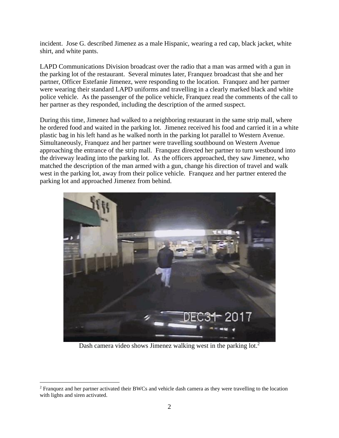incident. Jose G. described Jimenez as a male Hispanic, wearing a red cap, black jacket, white shirt, and white pants.

LAPD Communications Division broadcast over the radio that a man was armed with a gun in the parking lot of the restaurant. Several minutes later, Franquez broadcast that she and her partner, Officer Estefanie Jimenez, were responding to the location. Franquez and her partner were wearing their standard LAPD uniforms and travelling in a clearly marked black and white police vehicle. As the passenger of the police vehicle, Franquez read the comments of the call to her partner as they responded, including the description of the armed suspect.

During this time, Jimenez had walked to a neighboring restaurant in the same strip mall, where he ordered food and waited in the parking lot. Jimenez received his food and carried it in a white plastic bag in his left hand as he walked north in the parking lot parallel to Western Avenue. Simultaneously, Franquez and her partner were travelling southbound on Western Avenue approaching the entrance of the strip mall. Franquez directed her partner to turn westbound into the driveway leading into the parking lot. As the officers approached, they saw Jimenez, who matched the description of the man armed with a gun, change his direction of travel and walk west in the parking lot, away from their police vehicle. Franquez and her partner entered the parking lot and approached Jimenez from behind.



Dash camera video shows Jimenez walking west in the parking lot.<sup>2</sup>

 $\overline{a}$ 

<sup>2</sup> Franquez and her partner activated their BWCs and vehicle dash camera as they were travelling to the location with lights and siren activated.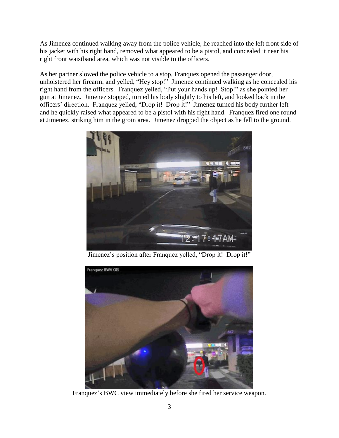As Jimenez continued walking away from the police vehicle, he reached into the left front side of his jacket with his right hand, removed what appeared to be a pistol, and concealed it near his right front waistband area, which was not visible to the officers.

As her partner slowed the police vehicle to a stop, Franquez opened the passenger door, unholstered her firearm, and yelled, "Hey stop!" Jimenez continued walking as he concealed his right hand from the officers. Franquez yelled, "Put your hands up! Stop!" as she pointed her gun at Jimenez. Jimenez stopped, turned his body slightly to his left, and looked back in the officers' direction. Franquez yelled, "Drop it! Drop it!" Jimenez turned his body further left and he quickly raised what appeared to be a pistol with his right hand. Franquez fired one round at Jimenez, striking him in the groin area. Jimenez dropped the object as he fell to the ground.



Jimenez's position after Franquez yelled, "Drop it! Drop it!"



Franquez's BWC view immediately before she fired her service weapon.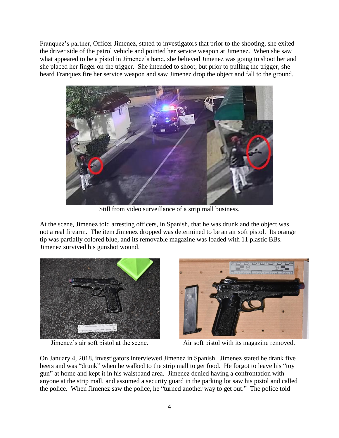Franquez's partner, Officer Jimenez, stated to investigators that prior to the shooting, she exited the driver side of the patrol vehicle and pointed her service weapon at Jimenez. When she saw what appeared to be a pistol in Jimenez's hand, she believed Jimenez was going to shoot her and she placed her finger on the trigger. She intended to shoot, but prior to pulling the trigger, she heard Franquez fire her service weapon and saw Jimenez drop the object and fall to the ground.



Still from video surveillance of a strip mall business.

At the scene, Jimenez told arresting officers, in Spanish, that he was drunk and the object was not a real firearm. The item Jimenez dropped was determined to be an air soft pistol. Its orange tip was partially colored blue, and its removable magazine was loaded with 11 plastic BBs. Jimenez survived his gunshot wound.





Jimenez's air soft pistol at the scene. Air soft pistol with its magazine removed.

On January 4, 2018, investigators interviewed Jimenez in Spanish. Jimenez stated he drank five beers and was "drunk" when he walked to the strip mall to get food. He forgot to leave his "toy gun" at home and kept it in his waistband area. Jimenez denied having a confrontation with anyone at the strip mall, and assumed a security guard in the parking lot saw his pistol and called the police. When Jimenez saw the police, he "turned another way to get out." The police told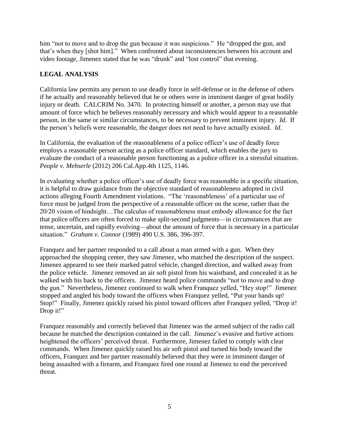him "not to move and to drop the gun because it was suspicious." He "dropped the gun, and that's when they [shot him]." When confronted about inconsistencies between his account and video footage, Jimenez stated that he was "drunk" and "lost control" that evening.

### **LEGAL ANALYSIS**

California law permits any person to use deadly force in self-defense or in the defense of others if he actually and reasonably believed that he or others were in imminent danger of great bodily injury or death. CALCRIM No. 3470. In protecting himself or another, a person may use that amount of force which he believes reasonably necessary and which would appear to a reasonable person, in the same or similar circumstances, to be necessary to prevent imminent injury. *Id*. If the person's beliefs were reasonable, the danger does not need to have actually existed. *Id*.

In California, the evaluation of the reasonableness of a police officer's use of deadly force employs a reasonable person acting as a police officer standard, which enables the jury to evaluate the conduct of a reasonable person functioning as a police officer in a stressful situation. *People v. Mehserle* (2012) 206 Cal.App.4th 1125, 1146.

In evaluating whether a police officer's use of deadly force was reasonable in a specific situation, it is helpful to draw guidance from the objective standard of reasonableness adopted in civil actions alleging Fourth Amendment violations. "The 'reasonableness' of a particular use of force must be judged from the perspective of a reasonable officer on the scene, rather than the 20/20 vision of hindsight…The calculus of reasonableness must embody allowance for the fact that police officers are often forced to make split-second judgments—in circumstances that are tense, uncertain, and rapidly evolving—about the amount of force that is necessary in a particular situation." *Graham v. Connor* (1989) 490 U.S. 386, 396-397.

Franquez and her partner responded to a call about a man armed with a gun. When they approached the shopping center, they saw Jimenez, who matched the description of the suspect. Jimenez appeared to see their marked patrol vehicle, changed direction, and walked away from the police vehicle. Jimenez removed an air soft pistol from his waistband, and concealed it as he walked with his back to the officers. Jimenez heard police commands "not to move and to drop the gun." Nevertheless, Jimenez continued to walk when Franquez yelled, "Hey stop!" Jimenez stopped and angled his body toward the officers when Franquez yelled, "Put your hands up! Stop!" Finally, Jimenez quickly raised his pistol toward officers after Franquez yelled, "Drop it! Drop it!"

Franquez reasonably and correctly believed that Jimenez was the armed subject of the radio call because he matched the description contained in the call. Jimenez's evasive and furtive actions heightened the officers' perceived threat. Furthermore, Jimenez failed to comply with clear commands. When Jimenez quickly raised his air soft pistol and turned his body toward the officers, Franquez and her partner reasonably believed that they were in imminent danger of being assaulted with a firearm, and Franquez fired one round at Jimenez to end the perceived threat.